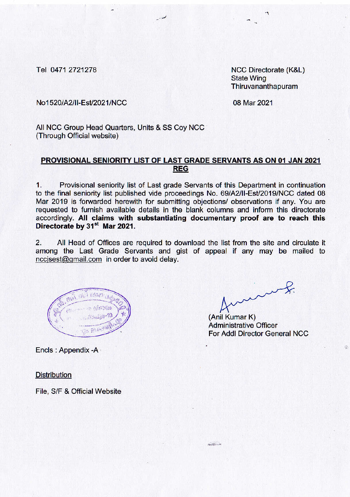Tel 0471 2721278

NCC Directorate (K&L) **State Wing** Thiruvananthapuram

No1520/A2/II-Est/2021/NCC

08 Mar 2021

All NCC Group Head Quarters, Units & SS Coy NCC (Through Official website)

## PROVISIONAL SENIORITY LIST OF LAST GRADE SERVANTS AS ON 01 JAN 2021 **REG**

Provisional seniority list of Last grade Servants of this Department in continuation  $\mathbf{1}$ . to the final seniority list published vide proceedings No. 69/A2/II-Est/2019/NCC dated 08 Mar 2019 is forwarded herewith for submitting objections/ observations if any. You are requested to furnish available details in the blank columns and inform this directorate accordingly. All claims with substantiating documentary proof are to reach this Directorate by 31<sup>st</sup> Mar 2021.

 $2.$ All Head of Offices are required to download the list from the site and circulate it among the Last Grade Servants and gist of appeal if any may be mailed to nccjsest@gmail.com in order to avoid delay.

(Anil Kumar K) **Administrative Officer For Addl Director General NCC** 

Encls: Appendix -A

**Distribution** 

File, S/F & Official Website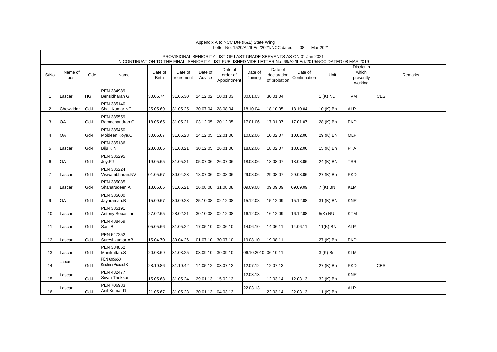|             |                 |           | IN CONTINUATION TO THE FINAL SENIORITY LIST PUBLISHED VIDE LETTER No 69/A2/II-Est/2019/NCC DATED 08 MAR 2019 |                         |                       |                   |                                    |                     |                                        | PROVISIONAL SENIORITY LIST OF LAST GRADE SERVANTS AS ON 01 Jan 2021 |            |                                              |            |
|-------------|-----------------|-----------|--------------------------------------------------------------------------------------------------------------|-------------------------|-----------------------|-------------------|------------------------------------|---------------------|----------------------------------------|---------------------------------------------------------------------|------------|----------------------------------------------|------------|
| S/No        | Name of<br>post | Gde       | Name                                                                                                         | Date of<br><b>Birth</b> | Date of<br>retirement | Date of<br>Advice | Date of<br>order of<br>Appointment | Date of<br>Joining  | Date of<br>declaration<br>of probation | Date of<br>Confirmation                                             | Unit       | District in<br>which<br>presently<br>working | Remarks    |
| $\mathbf 1$ | Lascar          | <b>HG</b> | PEN 384989<br>Bensidharan G                                                                                  | 30.05.74                | 31.05.30              | 24.12.02          | 10.01.03                           | 30.01.03            | 30.01.04                               |                                                                     | 1 (K) NU   | TVM                                          | <b>CES</b> |
| 2           | Chowkidar       | Gd-I      | PEN 385140<br>Shaji Kumar.NC                                                                                 | 25.05.69                | 31.05.25              | 30.07.04          | 28.08.04                           | 18.10.04            | 18.10.05                               | 18.10.04                                                            | 10 (K) Bn  | <b>ALP</b>                                   |            |
| 3           | OA              | Gd-I      | PEN 385559<br>Ramachandran.C                                                                                 | 18.05.65                | 31.05.21              | 03.12.05          | 20.12.05                           | 17.01.06            | 17.01.07                               | 17.01.07                                                            | 28 (K) Bn  | <b>PKD</b>                                   |            |
| 4           | OA              | Gd-I      | PEN 385450<br>Moideen Koya.C                                                                                 | 30.05.67                | 31.05.23              | 14.12.05          | 12.01.06                           | 10.02.06            | 10.02.07                               | 10.02.06                                                            | 29 (K) BN  | <b>MLP</b>                                   |            |
| 5           | Lascar          | Gd-I      | PEN 385186<br>Biju K N                                                                                       | 28.03.65                | 31.03.21              | 30.12.05          | 26.01.06                           | 18.02.06            | 18.02.07                               | 18.02.06                                                            | 15 (K) Bn  | <b>PTA</b>                                   |            |
| 6           | OA              | Gd-I      | PEN 385295<br>Joy.PJ                                                                                         | 19.05.65                | 31.05.21              | 05.07.06          | 26.07.06                           | 18.08.06            | 18.08.07                               | 18.08.06                                                            | 24 (K) BN  | <b>TSR</b>                                   |            |
| 7           | Lascar          | Gd-I      | PEN 385224<br>Viswambharan.NV                                                                                | 01.05.67                | 30.04.23              | 18.07.06          | 02.08.06                           | 29.08.06            | 29.08.07                               | 29.08.06                                                            | 27 (K) Bn  | <b>PKD</b>                                   |            |
| 8           | Lascar          | Gd-I      | PEN 385085<br>Shaharudeen.A                                                                                  | 18.05.65                | 31.05.21              | 16.08.08          | 31.08.08                           | 09.09.08            | 09.09.09                               | 09.09.09                                                            | 7 (K) BN   | <b>KLM</b>                                   |            |
| 9           | OA              | Gd-I      | PEN 385600<br>Jayaraman.B                                                                                    | 15.09.67                | 30.09.23              | 25.10.08 02.12.08 |                                    | 15.12.08            | 15.12.09                               | 15.12.08                                                            | 31 (K) BN  | <b>KNR</b>                                   |            |
| 10          | Lascar          | Gd-I      | PEN 385191<br>Antony Sebastian                                                                               | 27.02.65                | 28.02.21              | 30.10.08 02.12.08 |                                    | 16.12.08            | 16.12.09                               | 16.12.08                                                            | $5(K)$ NU  | <b>KTM</b>                                   |            |
| 11          | Lascar          | Gd-I      | PEN 488469<br>Sasi.B                                                                                         | 05.05.66                | 31.05.22              | 17.05.10 02.06.10 |                                    | 14.06.10            | 14.06.11                               | 14.06.11                                                            | $11(K)$ BN | <b>ALP</b>                                   |            |
| 12          | Lascar          | Gd-I      | PEN 547252<br>Sureshkumar.AB                                                                                 | 15.04.70                | 30.04.26              | 01.07.10 30.07.10 |                                    | 19.08.10            | 19.08.11                               |                                                                     | 27 (K) Bn  | <b>PKD</b>                                   |            |
| 13          | Lascar          | Gd-I      | PEN 384852<br>Manikuttan.S                                                                                   | 20.03.69                | 31.03.25              | 03.09.10 30.09.10 |                                    | 06.10.2010 06.10.11 |                                        |                                                                     | 3 (K) Bn   | <b>KLM</b>                                   |            |
| 14          | Lascar          | Gd-I      | PEN 695650<br>Krishna Prasad K                                                                               | 28.10.86                | 31.10.42              | 14.05.12 03.07.12 |                                    | 12.07.12            | 12.07.13                               |                                                                     | 27 (K) Bn  | <b>PKD</b>                                   | <b>CES</b> |
| 15          | Lascar          | Gd-I      | <b>PEN 432477</b><br>Sivan Thekkan                                                                           | 15.05.68                | 31.05.24              | 29.01.13          | 15.02.13                           | 12.03.13            | 12.03.14                               | 12.03.13                                                            | 32 (K) Bn  | <b>KNR</b>                                   |            |
| 16          | Lascar          | Gd-I      | PEN 706983<br>Anil Kumar D                                                                                   | 21.05.67                | 31.05.23              | 30.01.13 04.03.13 |                                    | 22.03.13            | 22.03.14                               | 22.03.13                                                            | 11 (K) Bn  | <b>ALP</b>                                   |            |

Appendix A to NCC Dte (K&L) State Wing Letter No. 1520/A2/II-Est/2021/NCC dated 08 Mar 2021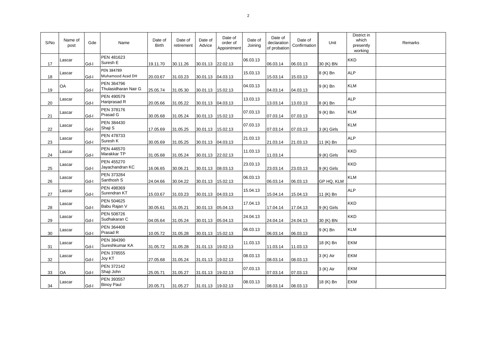| S/No | Name of<br>post | Gde  | Name                               | Date of<br><b>Birth</b> | Date of<br>retirement | Date of<br>Advice  | Date of<br>order of<br>Appointment | Date of<br>Joining | Date of<br>declaration<br>of probation | Date of<br>Confirmation | Unit        | District in<br>which<br>presently<br>working | Remarks |
|------|-----------------|------|------------------------------------|-------------------------|-----------------------|--------------------|------------------------------------|--------------------|----------------------------------------|-------------------------|-------------|----------------------------------------------|---------|
| 17   | Lascar          | Gd-I | <b>PEN 481623</b><br>Suresh E      | 19.11.70                | 30.11.26              | 30.01.13 22.02.13  |                                    | 06.03.13           | 06.03.14                               | 06.03.13                | 30 (K) BN   | <b>KKD</b>                                   |         |
| 18   | Lascar          | Gd-I | PEN 384789<br>Muhamood Azad DH     | 20.03.67                | 31.03.23              | 30.01.13  04.03.13 |                                    | 15.03.13           | 15.03.14                               | 15.03.13                | 8 (K) Bn    | <b>ALP</b>                                   |         |
| 19   | OA              | Gd-I | PEN 364796<br>Thulasidharan Nair G | 25.05.74                | 31.05.30              | 30.01.13 15.02.13  |                                    | 04.03.13           | 04.03.14                               | 04.03.13                | 9 (K) Bn    | <b>KLM</b>                                   |         |
| 20   | Lascar          | Gd-I | PEN 490579<br>Hariprasad R         | 20.05.66                | 31.05.22              | 30.01.13 04.03.13  |                                    | 13.03.13           | 13.03.14                               | 13.03.13                | 8 (K) Bn    | <b>ALP</b>                                   |         |
| 21   | Lascar          | Gd-I | PEN 378176<br>Prasad G             | 30.05.68                | 31.05.24              | 30.01.13 15.02.13  |                                    | 07.03.13           | 07.03.14                               | 07.03.13                | 9 (K) Bn    | <b>KLM</b>                                   |         |
| 22   | Lascar          | Gd-I | PEN 384430<br>Shaji S              | 17.05.69                | 31.05.25              | 30.01.13 15.02.13  |                                    | 07.03.13           | 07.03.14                               | 07.03.13                | 3 (K) Girls | <b>KLM</b>                                   |         |
| 23   | Lascar          | Gd-I | PEN 478733<br>Suresh K             | 30.05.69                | 31.05.25              | 30.01.13 04.03.13  |                                    | 21.03.13           | 21.03.14                               | 21.03.13                | 11 (K) Bn   | <b>ALP</b>                                   |         |
| 24   | Lascar          | Gd-I | PEN 446570<br>Marakkar TP          | 31.05.68                | 31.05.24              | 30.01.13 22.02.13  |                                    | 11.03.13           | 11.03.14                               |                         | 9 (K) Girls | <b>KKD</b>                                   |         |
| 25   | Lascar          | Gd-I | PEN 455270<br>Jayachandran KC      | 16.06.65                | 30.06.21              | 30.01.13 08.03.13  |                                    | 23.03.13           | 23.03.14                               | 23.03.13                | 9 (K) Girls | <b>KKD</b>                                   |         |
| 26   | Lascar          | Gd-I | PEN 373284<br>Santhosh S           | 24.04.66                | 30.04.22              | 30.01.13 15.02.13  |                                    | 06.03.13           | 06.03.14                               | 06.03.13                | GP HQ, KLM  | <b>KLM</b>                                   |         |
| 27   | Lascar          | Gd-I | PEN 498369<br>Surendran KT         | 15.03.67                | 31.03.23              | 30.01.13  04.03.13 |                                    | 15.04.13           | 15.04.14                               | 15.04.13                | 11 (K) Bn   | <b>ALP</b>                                   |         |
| 28   | Lascar          | Gd-I | PEN 504625<br>Babu Rajan V         | 30.05.61                | 31.05.21              | 30.01.13  05.04.13 |                                    | 17.04.13           | 17.04.14                               | 17.04.13                | 9 (K) Girls | <b>KKD</b>                                   |         |
| 29   | Lascar          | Gd-I | PEN 508726<br>Sudhakaran C         | 04.05.64                | 31.05.24              | 30.01.13 05.04.13  |                                    | 24.04.13           | 24.04.14                               | 24.04.13                | 30 (K) BN   | <b>KKD</b>                                   |         |
| 30   | Lascar          | Gd-I | PEN 364408<br>Prasad R             | 10.05.72                | 31.05.28              | 30.01.13  15.02.13 |                                    | 06.03.13           | 06.03.14                               | 06.03.13                | 9 (K) Bn    | <b>KLM</b>                                   |         |
| 31   | Lascar          | Gd-I | PEN 384390<br>Sureshkumar KA       | 31.05.72                | 31.05.28              | 31.01.13 19.02.13  |                                    | 11.03.13           | 11.03.14                               | 11.03.13                | 18 (K) Bn   | <b>EKM</b>                                   |         |
| 32   | Lascar          | Gd-I | <b>PEN 378555</b><br>Joy KT        | 27.05.68                | 31.05.24              | 31.01.13 19.02.13  |                                    | 08.03.13           | 08.03.14                               | 08.03.13                | 3 (K) Air   | <b>EKM</b>                                   |         |
| 33   | OA              | Gd-I | PEN 372142<br>Shaji John           | 25.05.71                | 31.05.27              | 31.01.13 19.02.13  |                                    | 07.03.13           | 07.03.14                               | 07.03.13                | 3 (K) Air   | <b>EKM</b>                                   |         |
| 34   | Lascar          | Gd-I | PEN 393557<br><b>Binoy Paul</b>    | 20.05.71                | 31.05.27              | 31.01.13 19.02.13  |                                    | 08.03.13           | 08.03.14                               | 08.03.13                | 18 (K) Bn   | <b>EKM</b>                                   |         |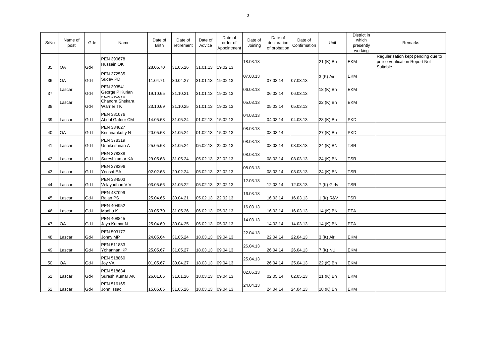| S/No | Name of<br>post | Gde   | Name                                                             | Date of<br><b>Birth</b> | Date of<br>retirement | Date of<br>Advice | Date of<br>order of<br>Appointment | Date of<br>Joining | Date of<br>declaration<br>of probation | Date of<br>Confirmation | Unit        | District in<br>which<br>presently<br>working | Remarks                                                                          |
|------|-----------------|-------|------------------------------------------------------------------|-------------------------|-----------------------|-------------------|------------------------------------|--------------------|----------------------------------------|-------------------------|-------------|----------------------------------------------|----------------------------------------------------------------------------------|
| 35   | OA              | Gd-II | PEN 390678<br>Hussain OK                                         | 28.05.70                | 31.05.26              | 31.01.13          | 19.02.13                           | 18.03.13           |                                        |                         | 21 (K) Bn   | EKM                                          | Regularisation kept pending due to<br>police verification Report Not<br>Suitable |
| 36   | OA              | Gd-I  | PEN 372535<br>Sudev PD                                           | 11.04.71                | 30.04.27              | 31.01.13 19.02.13 |                                    | 07.03.13           | 07.03.14                               | 07.03.13                | 3 (K) Air   | <b>EKM</b>                                   |                                                                                  |
| 37   | Lascar          | Gd-I  | PEN 393541<br>George P Kurian                                    | 19.10.65                | 31.10.21              | 31.01.13          | 19.02.13                           | 06.03.13           | 06.03.14                               | 06.03.13                | 18 (K) Bn   | <b>EKM</b>                                   |                                                                                  |
| 38   | Lascar          | Gd-I  | <del>ים וסופט אם -</del><br>Chandra Shekara<br><b>Warrier TK</b> | 23.10.69                | 31.10.25              | 31.01.13 19.02.13 |                                    | 05.03.13           | 05.03.14                               | 05.03.13                | 22 (K) Bn   | <b>EKM</b>                                   |                                                                                  |
| 39   | Lascar          | Gd-I  | PEN 381076<br>Abdul Gafoor CM                                    | 14.05.68                | 31.05.24              | 01.02.13 15.02.13 |                                    | 04.03.13           | 04.03.14                               | 04.03.13                | 28 (K) Bn   | <b>PKD</b>                                   |                                                                                  |
| 40   | OA              | Gd-I  | PEN 384627<br>Krishnankutty N                                    | 20.05.68                | 31.05.24              | 01.02.13          | 15.02.13                           | 08.03.13           | 08.03.14                               |                         | 27 (K) Bn   | <b>PKD</b>                                   |                                                                                  |
| 41   | Lascar          | Gd-I  | PEN 378319<br>Unnikrishnan A                                     | 25.05.68                | 31.05.24              | 05.02.13 22.02.13 |                                    | 08.03.13           | 08.03.14                               | 08.03.13                | 24 (K) BN   | <b>TSR</b>                                   |                                                                                  |
| 42   | Lascar          | Gd-I  | PEN 378338<br>Sureshkumar KA                                     | 29.05.68                | 31.05.24              | 05.02.13 22.02.13 |                                    | 08.03.13           | 08.03.14                               | 08.03.13                | 24 (K) BN   | <b>TSR</b>                                   |                                                                                  |
| 43   | Lascar          | Gd-I  | PEN 378396<br>Yoosaf EA                                          | 02.02.68                | 29.02.24              | 05.02.13 22.02.13 |                                    | 08.03.13           | 08.03.14                               | 08.03.13                | 24 (K) BN   | TSR                                          |                                                                                  |
| 44   | Lascar          | Gd-I  | PEN 384503<br>Velayudhan V V                                     | 03.05.66                | 31.05.22              | 05.02.13 22.02.13 |                                    | 12.03.13           | 12.03.14                               | 12.03.13                | 7 (K) Girls | <b>TSR</b>                                   |                                                                                  |
| 45   | Lascar          | Gd-I  | PEN 437099<br>Rajan PS                                           | 25.04.65                | 30.04.21              | 05.02.13 22.02.13 |                                    | 16.03.13           | 16.03.14                               | 16.03.13                | 1 (K) R&V   | TSR                                          |                                                                                  |
| 46   | Lascar          | Gd-I  | PEN 404952<br>Madhu K                                            | 30.05.70                | 31.05.26              | 06.02.13 05.03.13 |                                    | 16.03.13           | 16.03.14                               | 16.03.13                | 14 (K) BN   | <b>PTA</b>                                   |                                                                                  |
| 47   | OA              | Gd-I  | <b>PEN 408845</b><br>Jaya Kumar N                                | 25.04.69                | 30.04.25              | 06.02.13 05.03.13 |                                    | 14.03.13           | 14.03.14                               | 14.03.13                | 14 (K) BN   | <b>PTA</b>                                   |                                                                                  |
| 48   | Lascar          | Gd-I  | PEN 503177<br>Johny MP                                           | 24.05.64                | 31.05.24              | 18.03.13 09.04.13 |                                    | 22.04.13           | 22.04.14                               | 22.04.13                | 3 (K) Air   | <b>EKM</b>                                   |                                                                                  |
| 49   | Lascar          | Gd-I  | PEN 511833<br>Yohannan KP                                        | 25.05.67                | 31.05.27              | 18.03.13 09.04.13 |                                    | 26.04.13           | 26.04.14                               | 26.04.13                | 7 (K) NU    | <b>EKM</b>                                   |                                                                                  |
| 50   | OA              | Gd-I  | PEN 518860<br><b>Joy VA</b>                                      | 01.05.67                | 30.04.27              | 18.03.13 09.04.13 |                                    | 25.04.13           | 26.04.14                               | 25.04.13                | 22 (K) Bn   | <b>EKM</b>                                   |                                                                                  |
| 51   | Lascar          | Gd-I  | PEN 518634<br>Suresh Kumar AK                                    | 26.01.66                | 31.01.26              | 18.03.13 09.04.13 |                                    | 02.05.13           | 02.05.14                               | 02.05.13                | 21 (K) Bn   | EKM                                          |                                                                                  |
| 52   | Lascar          | Gd-I  | PEN 516165<br>John Issac                                         | 15.05.66                | 31.05.26              | 18.03.13 09.04.13 |                                    | 24.04.13           | 24.04.14                               | 24.04.13                | 18 (K) Bn   | <b>EKM</b>                                   |                                                                                  |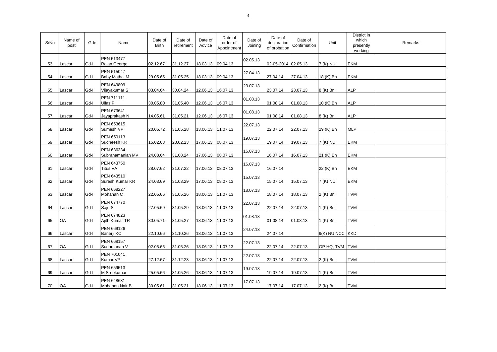| S/No | Name of<br>post | Gde  | Name                           | Date of<br><b>Birth</b> | Date of<br>retirement | Date of<br>Advice | Date of<br>order of<br>Appointment | Date of<br>Joining | Date of<br>declaration<br>of probation | Date of<br>Confirmation | Unit            | District in<br>which<br>presently<br>working | Remarks |
|------|-----------------|------|--------------------------------|-------------------------|-----------------------|-------------------|------------------------------------|--------------------|----------------------------------------|-------------------------|-----------------|----------------------------------------------|---------|
| 53   | Lascar          | Gd-I | PEN 513477<br>Rajan George     | 02.12.67                | 31.12.27              | 18.03.13 09.04.13 |                                    | 02.05.13           | 02-05-2014 02.05.13                    |                         | 7 (K) NU        | EKM                                          |         |
| 54   | Lascar          | Gd-I | PEN 515047<br>Baby Mathai M    | 29.05.65                | 31.05.25              | 18.03.13 09.04.13 |                                    | 27.04.13           | 27.04.14                               | 27.04.13                | 18 (K) Bn       | EKM                                          |         |
| 55   | Lascar          | Gd-I | PEN 649809<br>Vijayakumar S    | 03.04.64                | 30.04.24              | 12.06.13          | 16.07.13                           | 23.07.13           | 23.07.14                               | 23.07.13                | 8 (K) Bn        | <b>ALP</b>                                   |         |
| 56   | Lascar          | Gd-I | PEN 711111<br>Ullas P          | 30.05.80                | 31.05.40              | 12.06.13 16.07.13 |                                    | 01.08.13           | 01.08.14                               | 01.08.13                | 10 (K) Bn       | <b>ALP</b>                                   |         |
| 57   | Lascar          | Gd-I | PEN 673641<br>Jayaprakash N    | 14.05.61                | 31.05.21              | 12.06.13 16.07.13 |                                    | 01.08.13           | 01.08.14                               | 01.08.13                | 8 (K) Bn        | <b>ALP</b>                                   |         |
| 58   | Lascar          | Gd-I | PEN 653615<br>Sumesh VP        | 20.05.72                | 31.05.28              | 13.06.13 11.07.13 |                                    | 22.07.13           | 22.07.14                               | 22.07.13                | 29 (K) Bn       | <b>MLP</b>                                   |         |
| 59   | Lascar          | Gd-I | PEN 650113<br>Sudheesh KR      | 15.02.63                | 28.02.23              | 17.06.13 08.07.13 |                                    | 19.07.13           | 19.07.14                               | 19.07.13                | 7 (K) NU        | EKM                                          |         |
| 60   | Lascar          | Gd-I | PEN 636334<br>Subrahamanian MV | 24.08.64                | 31.08.24              | 17.06.13          | 08.07.13                           | 16.07.13           | 16.07.14                               | 16.07.13                | 21 (K) Bn       | EKM                                          |         |
| 61   | Lascar          | Gd-I | PEN 643750<br>Titus VA         | 28.07.62                | 31.07.22              | 17.06.13 08.07.13 |                                    | 16.07.13           | 16.07.14                               |                         | 22 (K) Bn       | EKM                                          |         |
| 62   | Lascar          | Gd-I | PEN 643510<br>Suresh Kumar KR  | 24.03.69                | 31.03.29              | 17.06.13 08.07.13 |                                    | 15.07.13           | 15.07.14                               | 15.07.13                | 7 (K) NU        | EKM                                          |         |
| 63   | Lascar          | Gd-I | PEN 668227<br>Mohanan C        | 22.05.66                | 31.05.26              | 18.06.13 11.07.13 |                                    | 18.07.13           | 18.07.14                               | 18.07.13                | 2 (K) Bn        | TVM                                          |         |
| 64   | Lascar          | Gd-I | PEN 674770<br>Saju S           | 27.05.69                | 31.05.29              | 18.06.13 11.07.13 |                                    | 22.07.13           | 22.07.14                               | 22.07.13                | 1 (K) Bn        | TVM                                          |         |
| 65   | OA              | Gd-I | PEN 674823<br>Ajith Kumar TR   | 30.05.71                | 31.05.27              | 18.06.13 11.07.13 |                                    | 01.08.13           | 01.08.14                               | 01.08.13                | 1 (K) Bn        | <b>TVM</b>                                   |         |
| 66   | Lascar          | Gd-I | PEN 669126<br>Banerji KC       | 22.10.66                | 31.10.26              | 18.06.13 11.07.13 |                                    | 24.07.13           | 24.07.14                               |                         | 9(K) NU NCC KKD |                                              |         |
| 67   | OA              | Gd-I | PEN 668157<br>Sudarsanan V     | 02.05.66                | 31.05.26              | 18.06.13 11.07.13 |                                    | 22.07.13           | 22.07.14                               | 22.07.13                | GP HQ, TVM      | <b>TVM</b>                                   |         |
| 68   | Lascar          | Gd-I | PEN 701041<br>Kumar VP         | 27.12.67                | 31.12.23              | 18.06.13 11.07.13 |                                    | 22.07.13           | 22.07.14                               | 22.07.13                | 2 (K) Bn        | <b>TVM</b>                                   |         |
| 69   | Lascar          | Gd-I | PEN 659513<br>M Sreekumar      | 25.05.66                | 31.05.26              | 18.06.13 11.07.13 |                                    | 19.07.13           | 19.07.14                               | 19.07.13                | 1 (K) Bn        | TVM                                          |         |
| 70   | OA              | Gd-I | PEN 648631<br>Mohanan Nair B   | 30.05.61                | 31.05.21              | 18.06.13 11.07.13 |                                    | 17.07.13           | 17.07.14                               | 17.07.13                | 2 (K) Bn        | <b>TVM</b>                                   |         |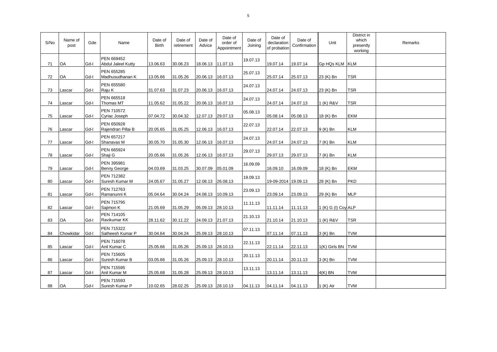| S/No | Name of<br>post | Gde  | Name                                    | Date of<br><b>Birth</b> | Date of<br>retirement | Date of<br>Advice  | Date of<br>order of<br>Appointment | Date of<br>Joining | Date of<br>declaration<br>of probation | Date of<br>Confirmation | Unit                | District in<br>which<br>presently<br>working | Remarks |
|------|-----------------|------|-----------------------------------------|-------------------------|-----------------------|--------------------|------------------------------------|--------------------|----------------------------------------|-------------------------|---------------------|----------------------------------------------|---------|
| 71   | <b>OA</b>       | Gd-I | PEN 669452<br><b>Abdul Jaleel Kutty</b> | 13.06.63                | 30.06.23              | 18.06.13 11.07.13  |                                    | 19.07.13           | 19.07.14                               | 19.07.14                | Gp HQs KLM KLM      |                                              |         |
| 72   | OA              | Gd-I | PEN 655285<br>Madhusudhanan K           | 13.05.66                | 31.05.26              | 20.06.13           | 16.07.13                           | 25.07.13           | 25.07.14                               | 25.07.13                | 23 (K) Bn           | TSR                                          |         |
| 73   | Lascar          | Gd-I | PEN 655580<br>Raju K                    | 31.07.63                | 31.07.23              | 20.06.13           | 16.07.13                           | 24.07.13           | 24.07.14                               | 24.07.13                | 23 (K) Bn           | TSR                                          |         |
| 74   | Lascar          | Gd-I | PEN 665518<br>Thomas MT                 | 11.05.62                | 31.05.22              | 20.06.13 16.07.13  |                                    | 24.07.13           | 24.07.14                               | 24.07.13                | 1 (K) R&V           | <b>TSR</b>                                   |         |
| 75   | Lascar          | Gd-I | PEN 710572<br>Cyriac Joseph             | 07.04.72                | 30.04.32              | 12.07.13 29.07.13  |                                    | 05.08.13           | 05.08.14                               | 05.08.13                | 18 (K) Bn           | EKM                                          |         |
| 76   | Lascar          | Gd-l | PEN 650928<br>Rajendran Pillai B        | 20.05.65                | 31.05.25              | 12.06.13 16.07.13  |                                    | 22.07.13           | 22.07.14                               | 22.07.13                | 9 (K) Bn            | KLM                                          |         |
| 77   | Lascar          | Gd-I | PEN 657217<br>Shanavas M                | 30.05.70                | 31.05.30              | 12.06.13 16.07.13  |                                    | 24.07.13           | 24.07.14                               | 24.07.13                | 7 (K) Bn            | <b>KLM</b>                                   |         |
| 78   | Lascar          | Gd-I | PEN 665924<br>Shaji G                   | 20.05.66                | 31.05.26              | 12.06.13           | 16.07.13                           | 29.07.13           | 29.07.13                               | 29.07.13                | 7 (K) Bn            | <b>KLM</b>                                   |         |
| 79   | Lascar          | Gd-I | PEN 395981<br><b>Benny George</b>       | 04.03.69                | 31.03.25              | 30.07.09  05.01.09 |                                    | 16.09.09           | 16.09.10                               | 16.09.09                | 18 (K) Bn           | EKM                                          |         |
| 80   | Lascar          | Gd-I | PEN 712382<br>Suresh Kumar M            | 24.05.67                | 31.05.27              | 12.08.13 26.08.13  |                                    | 19.09.13           | 19-09-2014 19.09.13                    |                         | 28 (K) Bn           | <b>PKD</b>                                   |         |
| 81   | Lascar          | Gd-I | PEN 712763<br>Ramanunni K               | 05.04.64                | 30.04.24              | 24.08.13 10.09.13  |                                    | 23.09.13           | 23.09.14                               | 23.09.13                | 29 (K) Bn           | <b>MLP</b>                                   |         |
| 82   | Lascar          | Gd-I | PEN 715795<br>Sajimon K                 | 21.05.69                | 31.05.29              | 05.09.13 28.10.13  |                                    | 11.11.13           | 11.11.14                               | 11.11.13                | 1 (K) G (I) Coy ALP |                                              |         |
| 83   | <b>OA</b>       | Gd-I | PEN 714105<br>Ravikumar KK              | 28.11.62                | 30.11.22              | 24.09.13 21.07.13  |                                    | 21.10.13           | 21.10.14                               | 21.10.13                | 1 (K) R&V           | TSR                                          |         |
| 84   | Chowkidar       | Gd-I | PEN 715322<br>Satheesh Kumar P          | 30.04.64                | 30.04.24              | 25.09.13 28.10.13  |                                    | 07.11.13           | 07.11.14                               | 07.11.13                | 3 (K) Bn            | <b>TVM</b>                                   |         |
| 85   | Lascar          | Gd-I | PEN 716078<br>Anil Kumar C              | 25.05.66                | 31.05.26              | 25.09.13 28.10.13  |                                    | 22.11.13           | 22.11.14                               | 22.11.13                | 1(K) Girls BN TVM   |                                              |         |
| 86   | Lascar          | Gd-I | PEN 715605<br>Suresh Kumar B            | 03.05.66                | 31.05.26              | 25.09.13 28.10.13  |                                    | 20.11.13           | 20.11.14                               | 20.11.13                | 3 (K) Bn            | <b>TVM</b>                                   |         |
| 87   | Lascar          | Gd-I | PEN 715595<br>Anil Kumar M              | 25.05.68                | 31.05.28              | 25.09.13 28.10.13  |                                    | 13.11.13           | 13.11.14                               | 13.11.13                | $4(K)$ BN           | TVM                                          |         |
| 88   | OA              | Gd-l | PEN 715593<br>Suresh Kumar P            | 10.02.65                | 28.02.25              | 25.09.13 28.10.13  |                                    | 04.11.13           | 04.11.14                               | 04.11.13                | 1 (K) Air           | TVM                                          |         |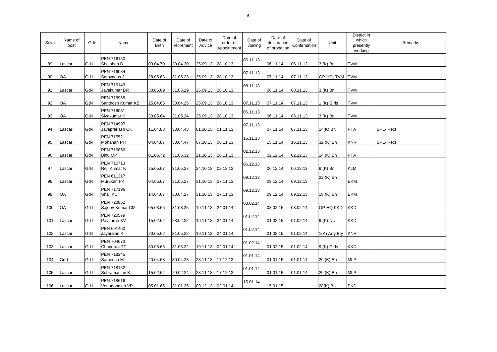| S/No | Name of<br>post | Gde  | Name                                | Date of<br><b>Birth</b> | Date of<br>retirement | Date of<br>Advice | Date of<br>order of<br>Appointment | Date of<br>Joining | Date of<br>declaration<br>of probation | Date of<br>Confirmation | Unit            | District in<br>which<br>presently<br>working | Remarks  |
|------|-----------------|------|-------------------------------------|-------------------------|-----------------------|-------------------|------------------------------------|--------------------|----------------------------------------|-------------------------|-----------------|----------------------------------------------|----------|
| 89   | Lascar          | Gd-I | PEN 716150<br>Shajahan B            | 03.04.70                | 30.04.30              | 25.09.13 28.10.13 |                                    | 06.11.13           | 06.11.14                               | 06.11.13                | 3 (K) Bn        | TVM                                          |          |
| 90   | OA              | Gd-I | PEN 716084<br>Sathyadas J           | 28.05.63                | 31.05.23              | 25.09.13 28.10.13 |                                    | 07.11.13           | 07.11.14                               | 07.11.13                | GP HQ, TVM TVM  |                                              |          |
| 91   | Lascar          | Gd-I | PEN 716143<br>Jayakumar BR          | 30.05.69                | 31.05.29              | 25.09.13 28.10.13 |                                    | 08.11.13           | 08.11.14                               | 08.11.13                | 3 (K) Bn        | <b>TVM</b>                                   |          |
| 92   | OA              | Gd-I | PEN 715965<br>Santhosh Kumar KS     | 25.04.65                | 30.04.25              | 25.09.13 28.10.13 |                                    | 07.11.13           | 07.11.14                               | 07.11.13                | 1 (K) Girls     | <b>TVM</b>                                   |          |
| 93   | OA              | Gd-I | PEN 716081<br>Sivakumar K           | 30.05.64                | 31.05.24              | 25.09.13 28.10.13 |                                    | 06.11.13           | 06.11.14                               | 06.11.13                | 3 (K) Bn        | <b>TVM</b>                                   |          |
| 94   | Lascar          | Gd-I | <b>PEN 714997</b><br>Jayaprakash CK | 11.04.83                | 30.04.43              | 01.10.13 01.11.13 |                                    | 07.11.13           | 07.11.14                               | 07.11.13                | 14(K) BN        | <b>PTA</b>                                   | SPL-Rect |
| 95   | Lascar          | Gd-I | PEN 715521<br>Mohanan PH            | 04.04.87                | 30.04.47              | 07.10.13 06.11.13 |                                    | 15.11.13           | 15.11.14                               | 15.11.13                | 32 (K) Bn       | <b>KNR</b>                                   | SPL-Rect |
| 96   | Lascar          | Gd-I | PEN 716856<br><b>Binu MP</b>        | 01.05.72                | 31.05.32              | 21.10.13 26.11.13 |                                    | 02.12.13           | 02.12.14                               | 02.12.13                | 14 (K) Bn       | <b>PTA</b>                                   |          |
| 97   | Lascar          | Gd-I | PEN 716713<br>Reji Kumar K          | 25.05.67                | 31.05.27              | 24.10.13 02.12.13 |                                    | 06.12.13           | 06.12.14                               | 06.12.13                | $9(K)$ Bn       | <b>KLM</b>                                   |          |
| 98   | Lascar          | Gd-I | PEN 611317<br>Murukan PK            | 04.05.67                | 31.05.27              | 31.10.13 27.11.13 |                                    | 09.12.13           | 09.12.14                               | 09.12.13                | 22 (K) Bn       | EKM                                          |          |
| 99   | OA              | Gd-I | PEN 717196<br>Shaji KC              | 14.04.67                | 30.04.27              | 31.10.13 27.11.13 |                                    | 09.12.13           | 09.12.14                               | 09.12.13                | 18 (K) Bn       | EKM                                          |          |
| 100  | <b>OA</b>       | Gd-I | PEN 720852<br>Sajeev Kumar CM       | 05.03.65                | 31.03.25              | 19.11.13 24.01.14 |                                    | 03.02.14           | 03.02.15                               | 03.02.14                | GP HQ, KKD      | <b>KKD</b>                                   |          |
| 101  | Lascar          | Gd-l | PEN 720579<br>Pavithran KV          | 15.02.62                | 28.02.22              | 19.11.13 24.01.14 |                                    | 01.02.14           | 01.02.15                               | 01.02.14                | 9 (K) NU        | KKD                                          |          |
| 102  | Lascar          | Gd-I | PEN 691460<br>Jayarajan K           | 20.05.62                | 31.05.22              | 19.11.13 24.01.14 |                                    | 01.02.14           | 01.02.15                               | 01.02.14                | $1(K)$ Arty Bty | <b>KNR</b>                                   |          |
| 103  | Lascar          | Gd-I | PEN 704673<br>Chandran TT           | 30.05.66                | 31.05.22              | 19.11.13 02.01.14 |                                    | 01.02.14           | 01.02.15                               | 01.02.14                | 9 (K) Girls     | <b>KKD</b>                                   |          |
| 104  | Gd-I            | Gd-I | PEN 718245<br>Satheesh M            | 20.04.63                | 30.04.23              | 23.11.13 17.12.13 |                                    | 01.01.14           | 01.01.15                               | 01.01.14                | 29 (K) Bn       | <b>MLP</b>                                   |          |
| 105  | Lascar          | Gd-I | PEN 718162<br>Subramanian K         | 15.02.64                | 29.02.24              | 23.11.13 17.12.13 |                                    | 01.01.14           | 01.01.15                               | 01.01.14                | 29 (K) Bn       | <b>MLP</b>                                   |          |
| 106  | Lascar          | Gd-I | PEN 718616<br>Venugopalan VP        | 05.01.65                | 31.01.25              | 09.12.13 02.01.14 |                                    | 15.01.14           | 15.01.15                               |                         | 28(K) Bn        | <b>PKD</b>                                   |          |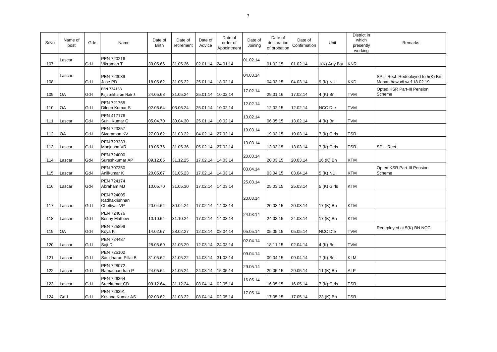| S/No | Name of<br>post | Gde  | Name                                        | Date of<br><b>Birth</b> | Date of<br>retirement | Date of<br>Advice | Date of<br>order of<br>Appointment | Date of<br>Joining | Date of<br>declaration<br>of probation | Date of<br>Confirmation | Unit           | District in<br>which<br>presently<br>working | Remarks                                                      |
|------|-----------------|------|---------------------------------------------|-------------------------|-----------------------|-------------------|------------------------------------|--------------------|----------------------------------------|-------------------------|----------------|----------------------------------------------|--------------------------------------------------------------|
| 107  | Lascar          | Gd-I | PEN 720216<br>Vikraman T                    | 30.05.66                | 31.05.26              | 02.01.14 24.01.14 |                                    | 01.02.14           | 01.02.15                               | 01.02.14                | 1(K) Arty Bty  | <b>KNR</b>                                   |                                                              |
| 108  | Lascar          | Gd-I | PEN 723039<br>Jose PD                       | 18.05.62                | 31.05.22              | 25.01.14 18.02.14 |                                    | 04.03.14           | 04.03.15                               | 04.03.14                | 9 (K) NU       | <b>KKD</b>                                   | SPL- Rect Redeployed to 5(K) Bn<br>Mananthawadi wef 18.02.19 |
| 109  | OA              | Gd-I | PEN 724133<br>Rajasekharan Nair S           | 24.05.68                | 31.05.24              | 25.01.14          | 10.02.14                           | 17.02.14           | 29.01.16                               | 17.02.14                | 4 (K) Bn       | TVM                                          | Opted KSR Part-III Pension<br>Scheme                         |
| 110  | OA              | Gd-I | PEN 721765<br>Dileep Kumar S                | 02.06.64                | 03.06.24              | 25.01.14 10.02.14 |                                    | 12.02.14           | 12.02.15                               | 12.02.14                | <b>NCC Dte</b> | TVM                                          |                                                              |
| 111  | Lascar          | Gd-I | PEN 417176<br>Sunil Kumar G                 | 05.04.70                | 30.04.30              | 25.01.14 10.02.14 |                                    | 13.02.14           | 06.05.15                               | 13.02.14                | 4 (K) Bn       | TVM                                          |                                                              |
| 112  | OA              | Gd-I | PEN 723357<br>Sivaraman KV                  | 27.03.62                | 31.03.22              | 04.02.14 27.02.14 |                                    | 19.03.14           | 19.03.15                               | 19.03.14                | 7 (K) Girls    | TSR                                          |                                                              |
| 113  | Lascar          | Gd-I | PEN 723333<br>Manjusha VR                   | 19.05.76                | 31.05.36              | 05.02.14 27.02.14 |                                    | 13.03.14           | 13.03.15                               | 13.03.14                | 7 (K) Girls    | TSR                                          | SPL-Rect                                                     |
| 114  | Lascar          | Gd-I | PEN 724000<br>Sureshkumar AP                | 09.12.65                | 31.12.25              | 17.02.14 14.03.14 |                                    | 20.03.14           | 20.03.15                               | 20.03.14                | 16 (K) Bn      | <b>KTM</b>                                   |                                                              |
| 115  | Lascar          | Gd-I | PEN 707350<br>Anilkumar K                   | 20.05.67                | 31.05.23              | 17.02.14 14.03.14 |                                    | 03.04.14           | 03.04.15                               | 03.04.14                | 5 (K) NU       | KTM                                          | Opted KSR Part-III Pension<br>Scheme                         |
| 116  | Lascar          | Gd-I | <b>PEN 724174</b><br>Abraham MJ             | 10.05.70                | 31.05.30              | 17.02.14 14.03.14 |                                    | 25.03.14           | 25.03.15                               | 25.03.14                | 5 (K) Girls    | <b>KTM</b>                                   |                                                              |
| 117  | Lascar          | Gd-I | PEN 724005<br>Radhakrishnan<br>Chettiyar VP | 20.04.64                | 30.04.24              | 17.02.14 14.03.14 |                                    | 20.03.14           | 20.03.15                               | 20.03.14                | 17 (K) Bn      | KTM                                          |                                                              |
| 118  | Lascar          | Gd-I | PEN 724076<br><b>Benny Mathew</b>           | 10.10.64                | 31.10.24              | 17.02.14 14.03.14 |                                    | 24.03.14           | 24.03.15                               | 24.03.14                | 17 (K) Bn      | KTM                                          |                                                              |
| 119  | OA              | Gd-I | PEN 725899<br>Koya K                        | 14.02.67                | 28.02.27              | 12.03.14 08.04.14 |                                    | 05.05.14           | 05.05.15                               | 05.05.14                | <b>NCC Dte</b> | <b>TVM</b>                                   | Redeployed at 5(K) BN NCC                                    |
| 120  | Lascar          | Gd-I | <b>PEN 724487</b><br>Saji D                 | 28.05.69                | 31.05.29              | 12.03.14 24.03.14 |                                    | 02.04.14           | 18.11.15                               | 02.04.14                | 4 (K) Bn       | TVM                                          |                                                              |
| 121  | Lascar          | Gd-I | PEN 725102<br>Sasidharan Pillai B           | 31.05.62                | 31.05.22              | 14.03.14 31.03.14 |                                    | 09.04.14           | 09.04.15                               | 09.04.14                | 7 (K) Bn       | <b>KLM</b>                                   |                                                              |
| 122  | Lascar          | Gd-I | PEN 728072<br>Ramachandran P                | 24.05.64                | 31.05.24              | 24.03.14 15.05.14 |                                    | 29.05.14           | 29.05.15                               | 29.05.14                | 11 (K) Bn      | <b>ALP</b>                                   |                                                              |
| 123  | Lascar          | Gd-I | PEN 726364<br>Sreekumar CD                  | 09.12.64                | 31.12.24              | 08.04.14 02.05.14 |                                    | 16.05.14           | 16.05.15                               | 16.05.14                | 7 (K) Girls    | <b>TSR</b>                                   |                                                              |
| 124  | Gd-I            | Gd-I | PEN 726391<br>Krishna Kumar AS              | 02.03.62                | 31.03.22              | 08.04.14 02.05.14 |                                    | 17.05.14           | 17.05.15                               | 17.05.14                | 23 (K) Bn      | TSR                                          |                                                              |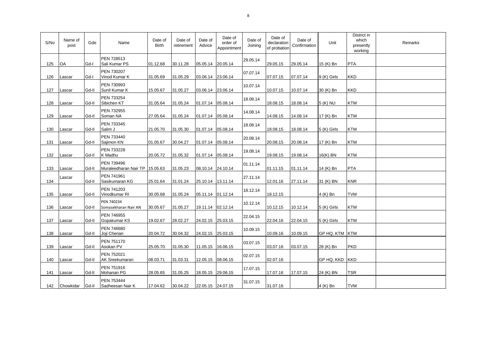| S/No | Name of<br>post | Gde   | Name                                         | Date of<br><b>Birth</b> | Date of<br>retirement | Date of<br>Advice | Date of<br>order of<br>Appointment | Date of<br>Joining | Date of<br>declaration<br>of probation | Date of<br>Confirmation | Unit           | District in<br>which<br>presently<br>working | Remarks |
|------|-----------------|-------|----------------------------------------------|-------------------------|-----------------------|-------------------|------------------------------------|--------------------|----------------------------------------|-------------------------|----------------|----------------------------------------------|---------|
| 125  | <b>OA</b>       | Gd-I  | PEN 728513<br>Sali Kumar PS                  | 01.12.68                | 30.11.28              | 05.05.14 20.05.14 |                                    | 29.05.14           | 29.05.15                               | 29.05.14                | 15 (K) Bn      | PTA                                          |         |
| 126  | Lascar          | Gd-I  | PEN 730207<br>Vinod Kumar K                  | 31.05.69                | 31.05.29              | 03.06.14 23.06.14 |                                    | 07.07.14           | 07.07.15                               | 07.07.14                | 9 (K) Girls    | <b>KKD</b>                                   |         |
| 127  | Lascar          | Gd-II | PEN 730993<br>Sunil Kumar K                  | 15.05.67                | 31.05.27              | 03.06.14 23.06.14 |                                    | 10.07.14           | 10.07.15                               | 10.07.14                | 30 (K) Bn      | <b>KKD</b>                                   |         |
| 128  | Lascar          | Gd-II | PEN 733254<br>Sibichen KT                    | 31.05.64                | 31.05.24              | 01.07.14          | 05.08.14                           | 18.08.14           | 18.08.15                               | 18.08.14                | 5 (K) NU       | <b>KTM</b>                                   |         |
| 129  | Lascar          | Gd-II | PEN 732955<br>Soman NA                       | 27.05.64                | 31.05.24              | 01.07.14          | 05.08.14                           | 14.08.14           | 14.08.15                               | 14.08.14                | 17 (K) Bn      | <b>KTM</b>                                   |         |
| 130  | Lascar          | Gd-II | PEN 733345<br>Salim J                        | 21.05.70                | 31.05.30              | 01.07.14 05.08.14 |                                    | 18.08.14           | 18.08.15                               | 18.08.14                | 5 (K) Girls    | KTM                                          |         |
| 131  | Lascar          | Gd-II | PEN 733440<br>Sajimon KN                     | 01.05.67                | 30.04.27              | 01.07.14 05.08.14 |                                    | 20.08.14           | 20.08.15                               | 20.08.14                | 17 (K) Bn      | <b>KTM</b>                                   |         |
| 132  | Lascar          | Gd-II | PEN 733228<br>K Madhu                        | 20.05.72                | 31.05.32              | 01.07.14          | 05.08.14                           | 19.08.14           | 19.08.15                               | 19.08.14                | 16(K) BN       | <b>KTM</b>                                   |         |
| 133  | Lascar          | Gd-II | PEN 739496<br>Muraleedharan Nair TP 15.05.63 |                         | 31.05.23              | 08.10.14 24.10.14 |                                    | 01.11.14           | 01.11.15                               | 01.11.14                | 14 (K) Bn      | PTA                                          |         |
| 134  | Lascar          | Gd-II | PEN 741961<br>Sasikumaran KG                 | 25.01.64                | 31.01.24              | 25.10.14 13.11.14 |                                    | 27.11.14           | 12.01.16                               | 27.11.14                | 31 (K) BN      | <b>KNR</b>                                   |         |
| 135  | Lascar          | Gd-II | PEN 741203<br>Vinodkumar RI                  | 30.05.68                | 31.05.24              | 05.11.14 01.12.14 |                                    | 18.12.14           | 18.12.15                               |                         | 4 (K) Bn       | TVM                                          |         |
| 136  | Lascar          | Gd-II | PEN 740234<br>Somasekharan Nair AN           | 30.05.67                | 31.05.27              | 19.11.14          | 02.12.14                           | 10.12.14           | 10.12.15                               | 10.12.14                | 5 (K) Girls    | <b>KTM</b>                                   |         |
| 137  | Lascar          | Gd-II | PEN 746955<br>Gopakumar KS                   | 19.02.67                | 28.02.27              | 24.02.15 25.03.15 |                                    | 22.04.15           | 22.04.16                               | 22.04.15                | 5 (K) Girls    | <b>KTM</b>                                   |         |
| 138  | Lascar          | Gd-II | PEN 746680<br>Joji Cherian                   | 20.04.72                | 30.04.32              | 24.02.15 25.03.15 |                                    | 10.09.15           | 10.09.16                               | 10.09.15                | GP HQ, KTM KTM |                                              |         |
| 139  | Lascar          | Gd-II | PEN 751170<br>Asokan PV                      | 25.05.70                | 31.05.30              | 11.05.15 16.06.15 |                                    | 03.07.15           | 03.07.16                               | 03.07.15                | 28 (K) Bn      | <b>PKD</b>                                   |         |
| 140  | Lascar          | Gd-II | PEN 752021<br>AK Sreekumaran                 | 08.03.71                | 31.03.31              | 12.05.15 08.06.15 |                                    | 02.07.15           | 02.07.16                               |                         | GP HQ, KKD KKD |                                              |         |
| 141  | Lascar          | Gd-II | PEN 751916<br>Mohanan PG                     | 28.05.65                | 31.05.25              | 18.05.15 29.06.15 |                                    | 17.07.15           | 17.07.16                               | 17.07.15                | 24 (K) BN      | TSR                                          |         |
| 142  | Chowkidar       | Gd-II | PEN 753444<br>Sadheesan Nair K               | 17.04.62                | 30.04.22              | 22.05.15 24.07.15 |                                    | 31.07.15           | 31.07.16                               |                         | 4 (K) Bn       | <b>TVM</b>                                   |         |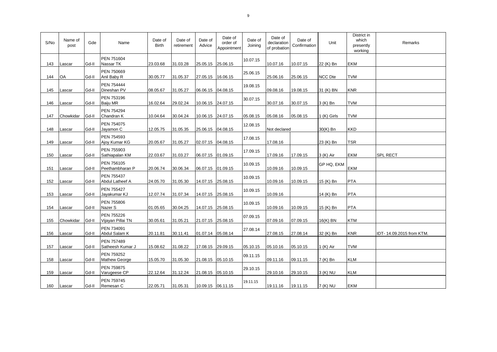| S/No | Name of<br>post | Gde   | Name                            | Date of<br><b>Birth</b> | Date of<br>retirement | Date of<br>Advice | Date of<br>order of<br>Appointment | Date of<br>Joining | Date of<br>declaration<br>of probation | Date of<br>Confirmation | Unit        | District in<br>which<br>presently<br>working | Remarks                   |
|------|-----------------|-------|---------------------------------|-------------------------|-----------------------|-------------------|------------------------------------|--------------------|----------------------------------------|-------------------------|-------------|----------------------------------------------|---------------------------|
| 143  | Lascar          | Gd-II | PEN 751604<br>Nassar TK         | 23.03.68                | 31.03.28              | 25.05.15 25.06.15 |                                    | 10.07.15           | 10.07.16                               | 10.07.15                | 22 (K) Bn   | EKM                                          |                           |
| 144  | OA              | Gd-II | PEN 750669<br>Anil Baby R       | 30.05.77                | 31.05.37              | 27.05.15          | 16.06.15                           | 25.06.15           | 25.06.16                               | 25.06.15                | NCC Dte     | <b>TVM</b>                                   |                           |
| 145  | Lascar          | Gd-II | PEN 754444<br>Dineshan PV       | 08.05.67                | 31.05.27              | 06.06.15          | 04.08.15                           | 19.08.15           | 09.08.16                               | 19.08.15                | 31 (K) BN   | <b>KNR</b>                                   |                           |
| 146  | Lascar          | Gd-II | PEN 753196<br>Baiju MR          | 16.02.64                | 29.02.24              | 10.06.15 24.07.15 |                                    | 30.07.15           | 30.07.16                               | 30.07.15                | 3 (K) Bn    | <b>TVM</b>                                   |                           |
| 147  | Chowkidar       | Gd-II | PEN 754294<br>Chandran K        | 10.04.64                | 30.04.24              | 10.06.15 24.07.15 |                                    | 05.08.15           | 05.08.16                               | 05.08.15                | 1 (K) Girls | <b>TVM</b>                                   |                           |
| 148  | Lascar          | Gd-II | PEN 754075<br>Jayamon C         | 12.05.75                | 31.05.35              | 25.06.15 04.08.15 |                                    | 12.08.15           | Not declared                           |                         | 30(K) Bn    | <b>KKD</b>                                   |                           |
| 149  | Lascar          | Gd-II | PEN 754593<br>Ajoy Kumar KG     | 20.05.67                | 31.05.27              | 02.07.15 04.08.15 |                                    | 17.08.15           | 17.08.16                               |                         | 23 (K) Bn   | TSR                                          |                           |
| 150  | Lascar          | Gd-II | PEN 755903<br>Sathiapalan KM    | 22.03.67                | 31.03.27              | 06.07.15          | 01.09.15                           | 17.09.15           | 17.09.16                               | 17.09.15                | 3 (K) Air   | EKM                                          | <b>SPL RECT</b>           |
| 151  | Lascar          | Gd-II | PEN 756105<br>Peethambharan P   | 20.06.74                | 30.06.34              | 06.07.15 01.09.15 |                                    | 10.09.15           | 10.09.16                               | 10.09.15                | GP HQ, EKM  | <b>EKM</b>                                   |                           |
| 152  | Lascar          | Gd-II | PEN 755437<br>Abdul Latheef A   | 24.05.70                | 31.05.30              | 14.07.15 25.08.15 |                                    | 10.09.15           | 10.09.16                               | 10.09.15                | 15 (K) Bn   | <b>PTA</b>                                   |                           |
| 153  | Lascar          | Gd-II | PEN 755427<br>Jayakumar KJ      | 12.07.74                | 31.07.34              | 14.07.15 25.08.15 |                                    | 10.09.15           | 10.09.16                               |                         | 14 (K) Bn   | <b>PTA</b>                                   |                           |
| 154  | Lascar          | Gd-II | PEN 755806<br>Nazer S           | 01.05.65                | 30.04.25              | 14.07.15 25.08.15 |                                    | 10.09.15           | 10.09.16                               | 10.09.15                | 15 (K) Bn   | PTA                                          |                           |
| 155  | Chowkidar       | Gd-II | PEN 755226<br>Vijayan Pillai TN | 30.05.61                | 31.05.21              | 21.07.15          | 25.08.15                           | 07.09.15           | 07.09.16                               | 07.09.15                | 16(K) BN    | <b>KTM</b>                                   |                           |
| 156  | Lascar          | Gd-II | PEN 734091<br>Abdul Salam K     | 20.11.81                | 30.11.41              | 01.07.14          | 05.08.14                           | 27.08.14           | 27.08.15                               | 27.08.14                | 32 (K) Bn   | <b>KNR</b>                                   | IDT- 14.09.2015 from KTM. |
| 157  | Lascar          | Gd-II | PEN 757489<br>Satheesh Kumar J  | 15.08.62                | 31.08.22              | 17.08.15 29.09.15 |                                    | 05.10.15           | 05.10.16                               | 05.10.15                | 1 (K) Air   | <b>TVM</b>                                   |                           |
| 158  | Lascar          | Gd-II | PEN 759252<br>Mathew George     | 15.05.70                | 31.05.30              | 21.08.15 05.10.15 |                                    | 09.11.15           | 09.11.16                               | 09.11.15                | 7 (K) Bn    | <b>KLM</b>                                   |                           |
| 159  | Lascar          | Gd-II | PEN 759875<br>Varugeese CP      | 22.12.64                | 31.12.24              | 21.08.15 05.10.15 |                                    | 29.10.15           | 29.10.16                               | 29.10.15                | 3 (K) NU    | <b>KLM</b>                                   |                           |
| 160  | Lascar          | Gd-II | PEN 759745<br>Remesan C         | 22.05.71                | 31.05.31              | 10.09.15 06.11.15 |                                    | 19.11.15           | 19.11.16                               | 19.11.15                | 7 (K) NU    | EKM                                          |                           |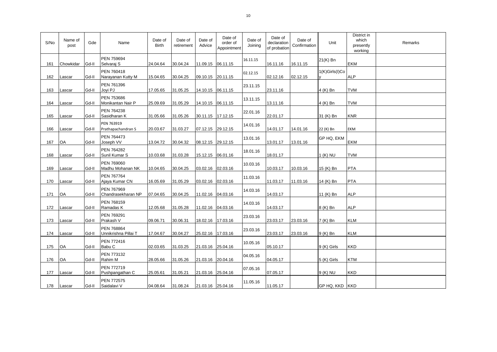| S/No | Name of<br>post | Gde   | Name                                 | Date of<br><b>Birth</b> | Date of<br>retirement | Date of<br>Advice   | Date of<br>order of<br>Appointment | Date of<br>Joining | Date of<br>declaration<br>of probation | Date of<br>Confirmation | Unit           | District in<br>which<br>presently<br>working | Remarks |
|------|-----------------|-------|--------------------------------------|-------------------------|-----------------------|---------------------|------------------------------------|--------------------|----------------------------------------|-------------------------|----------------|----------------------------------------------|---------|
| 161  | Chowkidar       | Gd-II | PEN 759694<br>Selvaraj S             | 24.04.64                | 30.04.24              | 11.09.15 06.11.15   |                                    | 16.11.15           | 16.11.16                               | 16.11.15                | 21(K) Bn       | EKM                                          |         |
| 162  | Lascar          | Gd-II | PEN 760418<br>Narayanan Kutty M      | 15.04.65                | 30.04.25              | 09.10.15 20.11.15   |                                    | 02.12.15           | 02.12.16                               | 02.12.15                | 1(K)Girls(I)Co | <b>ALP</b>                                   |         |
| 163  | Lascar          | Gd-II | PEN 761396<br>Joyi PJ                | 17.05.65                | 31.05.25              | 14.10.15 06.11.15   |                                    | 23.11.15           | 23.11.16                               |                         | 4 (K) Bn       | <b>TVM</b>                                   |         |
| 164  | Lascar          | Gd-II | PEN 753686<br>Monikantan Nair P      | 25.09.69                | 31.05.29              | 14.10.15 06.11.15   |                                    | 13.11.15           | 13.11.16                               |                         | 4 (K) Bn       | <b>TVM</b>                                   |         |
| 165  | Lascar          | Gd-II | PEN 764238<br>Sasidharan K           | 31.05.66                | 31.05.26              | 30.11.15 17.12.15   |                                    | 22.01.16           | 22.01.17                               |                         | 31 (K) Bn      | <b>KNR</b>                                   |         |
| 166  | Lascar          | Gd-II | PEN 763919<br>Prathapachandran S     | 20.03.67                | 31.03.27              | 07.12.15 29.12.15   |                                    | 14.01.16           | 14.01.17                               | 14.01.16                | 22 (K) Bn      | EKM                                          |         |
| 167  | OA              | Gd-II | PEN 764473<br>Joseph VV              | 13.04.72                | 30.04.32              | 08.12.15 29.12.15   |                                    | 13.01.16           | 13.01.17                               | 13.01.16                | GP HQ, EKM     | <b>EKM</b>                                   |         |
| 168  | Lascar          | Gd-II | PEN 764282<br>Sunil Kumar S          | 10.03.68                | 31.03.28              | 15.12.15 06.01.16   |                                    | 18.01.16           | 18.01.17                               |                         | 1 (K) NU       | <b>TVM</b>                                   |         |
| 169  | Lascar          | Gd-II | PEN 769060<br>Madhu Mohanan NK       | 10.04.65                | 30.04.25              | 03.02.16 02.03.16   |                                    | 10.03.16           | 10.03.17                               | 10.03.16                | 15 (K) Bn      | <b>PTA</b>                                   |         |
| 170  | Lascar          | Gd-II | <b>PEN 767764</b><br>Ajaya Kumar CN  | 16.05.69                | 31.05.29              | 03.02.16 02.03.16   |                                    | 11.03.16           | 11.03.17                               | 11.03.16                | 14 (K) Bn      | <b>PTA</b>                                   |         |
| 171  | <b>OA</b>       | Gd-II | PEN 767969<br>Chandrasekharan NP     | 07.04.65                | 30.04.25              | 11.02.16   04.03.16 |                                    | 14.03.16           | 14.03.17                               |                         | 11 (K) Bn      | <b>ALP</b>                                   |         |
| 172  | Lascar          | Gd-II | PEN 768159<br>Ramadas K              | 12.05.68                | 31.05.28              | 11.02.16  04.03.16  |                                    | 14.03.16           | 14.03.17                               |                         | 8 (K) Bn       | <b>ALP</b>                                   |         |
| 173  | Lascar          | Gd-II | <b>PEN 769291</b><br>Prakash V       | 09.06.71                | 30.06.31              | 18.02.16 17.03.16   |                                    | 23.03.16           | 23.03.17                               | 23.03.16                | 7 (K) Bn       | <b>KLM</b>                                   |         |
| 174  | Lascar          | Gd-II | PEN 768864<br>Unnikrishna Pillai T   | 17.04.67                | 30.04.27              | 25.02.16 17.03.16   |                                    | 23.03.16           | 23.03.17                               | 23.03.16                | 9 (K) Bn       | <b>KLM</b>                                   |         |
| 175  | OA              | Gd-II | PEN 772416<br>Babu C                 | 02.03.65                | 31.03.25              | 21.03.16 25.04.16   |                                    | 10.05.16           | 05.10.17                               |                         | 9 (K) Girls    | <b>KKD</b>                                   |         |
| 176  | <b>OA</b>       | Gd-II | PEN 773132<br>Rahim M                | 28.05.66                | 31.05.26              | 21.03.16 20.04.16   |                                    | 04.05.16           | 04.05.17                               |                         | 5 (K) Girls    | <b>KTM</b>                                   |         |
| 177  | Lascar          | Gd-II | <b>PEN 772719</b><br>Pushpangathan C | 25.05.61                | 31.05.21              | 21.03.16 25.04.16   |                                    | 07.05.16           | 07.05.17                               |                         | 9 (K) NU       | <b>KKD</b>                                   |         |
|      | 178 Lascar      | Gd-II | <b>PEN 772575</b><br>Saidalavi V     | 04.08.64                | 31.08.24              | 21.03.16 25.04.16   |                                    | 11.05.16           | 11.05.17                               |                         | GP HQ, KKD KKD |                                              |         |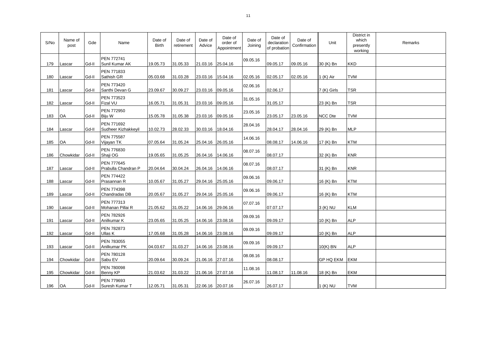| S/No | Name of<br>post | Gde   | Name                              | Date of<br><b>Birth</b> | Date of<br>retirement | Date of<br>Advice | Date of<br>order of<br>Appointment | Date of<br>Joining | Date of<br>declaration<br>of probation | Date of<br>Confirmation | Unit           | District in<br>which<br>presently<br>working | Remarks |
|------|-----------------|-------|-----------------------------------|-------------------------|-----------------------|-------------------|------------------------------------|--------------------|----------------------------------------|-------------------------|----------------|----------------------------------------------|---------|
| 179  | Lascar          | Gd-II | PEN 772741<br>Sunil Kumar AK      | 19.05.73                | 31.05.33              | 21.03.16 25.04.16 |                                    | 09.05.16           | 09.05.17                               | 09.05.16                | 30 (K) Bn      | <b>KKD</b>                                   |         |
| 180  | Lascar          | Gd-II | PEN 771833<br>Sathish GR          | 05.03.68                | 31.03.28              | 23.03.16 15.04.16 |                                    | 02.05.16           | 02.05.17                               | 02.05.16                | 1 (K) Air      | <b>TVM</b>                                   |         |
| 181  | Lascar          | Gd-II | PEN 773420<br>Santhi Devan G      | 23.09.67                | 30.09.27              | 23.03.16          | 09.05.16                           | 02.06.16           | 02.06.17                               |                         | 7 (K) Girls    | TSR                                          |         |
| 182  | Lascar          | Gd-II | PEN 773523<br>Fizal VU            | 16.05.71                | 31.05.31              | 23.03.16          | 09.05.16                           | 31.05.16           | 31.05.17                               |                         | 23 (K) Bn      | <b>TSR</b>                                   |         |
| 183  | OA              | Gd-II | PEN 772950<br>Biju W              | 15.05.78                | 31.05.38              | 23.03.16          | 09.05.16                           | 23.05.16           | 23.05.17                               | 23.05.16                | <b>NCC Dte</b> | <b>TVM</b>                                   |         |
| 184  | Lascar          | Gd-II | PEN 771692<br>Sudheer Kizhakkeyil | 10.02.73                | 28.02.33              | 30.03.16 18.04.16 |                                    | 28.04.16           | 28.04.17                               | 28.04.16                | 29 (K) Bn      | MLP                                          |         |
| 185  | OA              | Gd-II | PEN 775587<br>Vijayan TK          | 07.05.64                | 31.05.24              | 25.04.16          | 26.05.16                           | 14.06.16           | 08.08.17                               | 14.06.16                | 17 (K) Bn      | <b>KTM</b>                                   |         |
| 186  | Chowkidar       | Gd-II | PEN 776830<br>Shaji OG            | 19.05.65                | 31.05.25              | 26.04.16          | 14.06.16                           | 08.07.16           | 08.07.17                               |                         | 32 (K) Bn      | <b>KNR</b>                                   |         |
| 187  | Lascar          | Gd-II | PEN 777645<br>Prabulla Chandran P | 20.04.64                | 30.04.24              | 26.04.16 14.06.16 |                                    | 08.07.16           | 08.07.17                               |                         | 31 (K) Bn      | <b>KNR</b>                                   |         |
| 188  | Lascar          | Gd-II | <b>PEN 774422</b><br>Prasannan R  | 10.05.67                | 31.05.27              | 29.04.16 25.05.16 |                                    | 09.06.16           | 09.06.17                               |                         | 16 (K) Bn      | <b>KTM</b>                                   |         |
| 189  | Lascar          | Gd-II | PEN 774398<br>Chandradas DB       | 20.05.67                | 31.05.27              | 29.04.16 25.05.16 |                                    | 09.06.16           | 09.06.17                               |                         | 16 (K) Bn      | <b>KTM</b>                                   |         |
| 190  | Lascar          | Gd-II | PEN 777313<br>Mohanan Pillai R    | 21.05.62                | 31.05.22              | 14.06.16 29.06.16 |                                    | 07.07.16           | 07.07.17                               |                         | 3 (K) NU       | <b>KLM</b>                                   |         |
| 191  | Lascar          | Gd-II | PEN 782926<br>Anilkumar K         | 23.05.65                | 31.05.25              |                   | 14.06.16 23.08.16                  | 09.09.16           | 09.09.17                               |                         | 10 (K) Bn      | <b>ALP</b>                                   |         |
| 192  | Lascar          | Gd-II | PEN 782873<br>Ullas K             | 17.05.68                | 31.05.28              | 14.06.16 23.08.16 |                                    | 09.09.16           | 09.09.17                               |                         | 10 (K) Bn      | <b>ALP</b>                                   |         |
| 193  | Lascar          | Gd-II | PEN 783055<br>Anilkumar PK        | 04.03.67                | 31.03.27              | 14.06.16 23.08.16 |                                    | 09.09.16           | 09.09.17                               |                         | 10(K) BN       | <b>ALP</b>                                   |         |
| 194  | Chowkidar       | Gd-II | PEN 780128<br>Sabu EV             | 20.09.64                | 30.09.24              | 21.06.16 27.07.16 |                                    | 08.08.16           | 08.08.17                               |                         | GP HQ EKM      | <b>EKM</b>                                   |         |
| 195  | Chowkidar       | Gd-II | PEN 780098<br>Benny KP            | 21.03.62                | 31.03.22              | 21.06.16          | 27.07.16                           | 11.08.16           | 11.08.17                               | 11.08.16                | 18 (K) Bn      | EKM                                          |         |
| 196  | OA              | Gd-II | PEN 779693<br>Suresh Kumar T      | 12.05.71                | 31.05.31              | 22.06.16 20.07.16 |                                    | 26.07.16           | 26.07.17                               |                         | 1 (K) NU       | <b>TVM</b>                                   |         |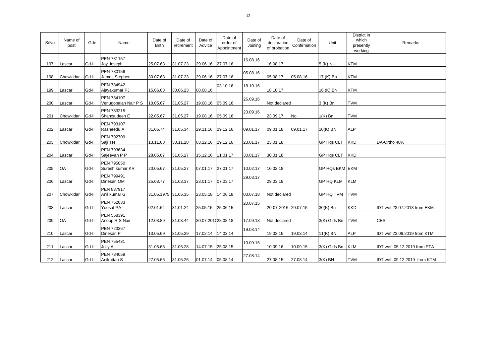| S/No | Name of<br>post | Gde   | Name                                      | Date of<br><b>Birth</b> | Date of<br>retirement | Date of<br>Advice  | Date of<br>order of<br>Appointment | Date of<br>Joining | Date of<br>declaration<br>of probation | Date of<br>Confirmation | Unit           | District in<br>which<br>presently<br>working | Remarks                      |
|------|-----------------|-------|-------------------------------------------|-------------------------|-----------------------|--------------------|------------------------------------|--------------------|----------------------------------------|-------------------------|----------------|----------------------------------------------|------------------------------|
| 197  | Lascar          | Gd-II | <b>PEN 781157</b><br>Joy Joseph           | 25.07.63                | 31.07.23              | 29.06.16 27.07.16  |                                    | 16.08.16           | 16.08.17                               |                         | 5 (K) NU       | <b>KTM</b>                                   |                              |
| 198  | Chowkidar       | Gd-II | <b>PEN 780156</b><br>James Stephen        | 30.07.63                | 31.07.23              | 29.06.16           | 27.07.16                           | 05.08.16           | 05.08.17                               | 05.08.16                | 17 (K) Bn      | <b>KTM</b>                                   |                              |
| 199  | Lascar          | Gd-II | <b>PEN 784942</b><br>Ajayakumar PJ        | 15.06.63                | 30.06.23              | 08.08.16           | 03.10.16                           | 18.10.16           | 18.10.17                               |                         | 16 (K) BN      | <b>KTM</b>                                   |                              |
| 200  | Lascar          | Gd-II | <b>PEN 784107</b><br>Venugopalan Nair P S | 10.05.67                | 31.05.27              | 19.08.16           | 05.09.16                           | 26.09.16           | Not declared                           |                         | 3 (K) Bn       | <b>TVM</b>                                   |                              |
| 201  | Chowkidar       | Gd-II | PEN 783215<br>Shamsudeen E                | 22.05.67                | 31.05.27              | 19.08.16 05.09.16  |                                    | 23.09.16           | 23.09.17                               | No                      | $1(K)$ Bn      | <b>TVM</b>                                   |                              |
| 202  | Lascar          | Gd-II | PEN 793107<br>Rasheedu A                  | 31.05.74                | 31.05.34              | 29.11.16 29.12.16  |                                    | 09.01.17           | 09.01.18                               | 09.01.17                | 10(K) BN       | <b>ALP</b>                                   |                              |
| 203  | Chowkidar       | Gd-II | <b>PEN 792709</b><br>Saji TN              | 13.11.68                | 30.11.28              | 03.12.16 29.12.16  |                                    | 23.01.17           | 23.01.18                               |                         | GP Hqs CLT     | <b>KKD</b>                                   | DA-Ortho 40%                 |
| 204  | Lascar          | Gd-II | <b>PEN 793634</b><br>Sajeevan P P         | 28.05.67                | 31.05.27              | 15.12.16 11.01.17  |                                    | 30.01.17           | 30.01.18                               |                         | GP Hqs CLT KKD |                                              |                              |
| 205  | <b>OA</b>       | Gd-II | PEN 795050<br>Suresh kumar KR             | 20.05.67                | 31.05.27              | 07.01.17 27.01.17  |                                    | 10.02.17           | 10.02.18                               |                         | GP HQs EKM EKM |                                              |                              |
| 206  | Lascar          | Gd-II | <b>PEN 799491</b><br>Dinesan OM           | 25.03.77                | 31.03.37              | 23.01.17 07.03.17  |                                    | 29.03.17           | 29.03.18                               |                         | GP HQ KLM      | <b>KLM</b>                                   |                              |
| 207  | Chowkidar       | Gd-II | <b>PEN 837917</b><br>Anil kumar G         | 31.05.1975 31.05.35     |                       | 23.05.18 14.06.18  |                                    | 03.07.18           | Not declared                           |                         | GP HQ TVM      | <b>TVM</b>                                   |                              |
| 208  | Lascar          | Gd-II | PEN 752033<br>Yoosaf PA                   | 02.01.64                | 31.01.24              | 25.05.15 25.06.15  |                                    | 20.07.15           | 20-07-2016 20.07.15                    |                         | 30(K) Bn       | <b>KKD</b>                                   | IDT wef 23.07.2018 from EKM. |
| 209  | <b>OA</b>       | Gd-II | PEN 558391<br>Anoop R S Nair              | 12.03.89                | 31.03.44              | 30.07.201(28.08.18 |                                    | 17.09.18           | Not declared                           |                         | 3(K) Girls Bn  | <b>TVM</b>                                   | <b>CES</b>                   |
| 210  | Lascar          | Gd-II | PEN 723367<br>Dinesan P                   | 13.05.69                | 31.05.29              | 17.02.14 14.03.14  |                                    | 19.03.14           | 19.03.15                               | 19.03.14                | 11(K) BN       | <b>ALP</b>                                   | IDT wef 23.09.2019 from KTM  |
| 211  | Lascar          | Gd-II | PEN 755431<br>Jolly A                     | 31.05.68                | 31.05.28              | 14.07.15 25.08.15  |                                    | 10.09.15           | 10.09.16                               | 10.09.15                | 3(K) Girls Bn  | <b>KLM</b>                                   | IDT wef 05.12.2019 from PTA  |
| 212  | Lascar          | Gd-II | PEN 734059<br>Anikuttan S                 | 27.05.66                | 31.05.26              | 01.07.14 05.08.14  |                                    | 27.08.14           | 27.08.15                               | 27.08.14                | $3(K)$ BN      | <b>TVM</b>                                   | IDT wef 09.12.2019 from KTM  |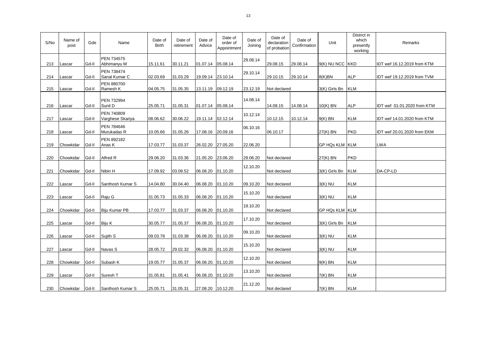| S/No | Name of<br>post | Gde   | Name                           | Date of<br><b>Birth</b> | Date of<br>retirement | Date of<br>Advice  | Date of<br>order of<br>Appointment | Date of<br>Joining | Date of<br>declaration<br>of probation | Date of<br>Confirmation | Unit                  | District in<br>which<br>presently<br>working | Remarks                     |
|------|-----------------|-------|--------------------------------|-------------------------|-----------------------|--------------------|------------------------------------|--------------------|----------------------------------------|-------------------------|-----------------------|----------------------------------------------|-----------------------------|
| 213  | Lascar          | Gd-II | PEN 734575<br>Abhimanyu M      | 15.11.61                | 30.11.21              | 01.07.14 05.08.14  |                                    | 29.08.14           | 29.08.15                               | 29.08.14                | 9(K) NU NCC KKD       |                                              | IDT wef 16.12.2019 from KTM |
| 214  | Lascar          | Gd-II | PEN 738474<br>Sanal Kumar C    | 02.03.69                | 31.03.29              | 19.09.14 23.10.14  |                                    | 29.10.14           | 29.10.15                               | 29.10.14                | 8(K)BN                | <b>ALP</b>                                   | IDT wef 19.12.2019 from TVM |
| 215  | Lascar          | Gd-II | PEN 880700<br>Ramesh K         | 04.05.75                | 31.05.35              | 13.11.19 09.12.19  |                                    | 23.12.19           | Not declared                           |                         | 3(K) Girls Bn         | <b>KLM</b>                                   |                             |
| 216  | Lascar          | Gd-II | <b>PEN 732994</b><br>Sunil D   | 25.05.71                | 31.05.31              | 01.07.14 05.08.14  |                                    | 14.08.14           | 14.08.15                               | 14.08.14                | $10(K)$ BN            | <b>ALP</b>                                   | IDT wef 01.01.2020 from KTM |
| 217  | Lascar          | Gd-II | PEN 740809<br>Varghese Skariya | 08.06.62                | 30.06.22              | 19.11.14 02.12.14  |                                    | 10.12.14           | 10.12.15                               | 10.12.14                | $9(K)$ BN             | <b>KLM</b>                                   | IDT wef 14.01.2020 from KTM |
| 218  | Lascar          | Gd-II | PEN 784646<br>Murukadas R      | 10.05.66                | 31.05.26              | 17.08.16 20.09.16  |                                    | 06.10.16           | 06.10.17                               |                         | 27(K) BN              | <b>PKD</b>                                   | IDT wef 20.01.2020 from EKM |
| 219  | Chowkidar       | Gd-II | PEN 892182<br>Anas K           | 17.03.77                | 31.03.37              | 26.02.20 27.05.20  |                                    | 22.06.20           |                                        |                         | <b>GP HQs KLM KLM</b> |                                              | <b>LWA</b>                  |
| 220  | Chowkidar       | Gd-II | Alfred R                       | 29.06.20                | 31.03.36              | 21.05.20 23.06.20  |                                    | 29.06.20           | Not declared                           |                         | 27(K) BN              | <b>PKD</b>                                   |                             |
| 221  | Chowkidar       | Gd-II | Nibin H                        | 17.09.92                | 03.09.52              | 06.08.20           | 01.10.20                           | 12.10.20           | Not declared                           |                         | 3(K) Girls Bn         | <b>KLM</b>                                   | DA-CP-LD                    |
| 222  | Lascar          | Gd-II | Santhosh Kumar S               | 14.04.80                | 30.04.40              | 06.08.20 01.10.20  |                                    | 09.10.20           | Not declared                           |                         | $3(K)$ NU             | <b>KLM</b>                                   |                             |
| 223  | Lascar          | Gd-II | Raju G                         | 31.05.73                | 31.05.33              | 06.08.20           | 01.10.20                           | 15.10.20           | Not declared                           |                         | $3(K)$ NU             | <b>KLM</b>                                   |                             |
| 224  | Chowkidar       | Gd-II | Biju Kumar PB                  | 17.03.77                | 31.03.37              | 06.08.20 01.10.20  |                                    | 19.10.20           | Not declared                           |                         | <b>GP HQs KLM KLM</b> |                                              |                             |
| 225  | Lascar          | Gd-II | Biju K                         | 30.05.77                | 31.05.37              | 06.08.20. 01.10.20 |                                    | 17.10.20           | Not declared                           |                         | 3(K) Girls Bn KLM     |                                              |                             |
| 226  | Lascar          | Gd-II | Sujith S                       | 09.03.78                | 31.03.38              | 06.08.20. 01.10.20 |                                    | 09.10.20           | Not declared                           |                         | $3(K)$ NU             | <b>KLM</b>                                   |                             |
| 227  | Lascar          | Gd-II | Navas S                        | 28.05.72                | 29.02.32              | 06.08.20. 01.10.20 |                                    | 15.10.20           | Not declared                           |                         | $3(K)$ NU             | <b>KLM</b>                                   |                             |
| 228  | Chowkidar       | Gd-II | Subash K                       | 19.05.77                | 31.05.37              | 06.08.20. 01.10.20 |                                    | 12.10.20           | Not declared                           |                         | $9(K)$ BN             | <b>KLM</b>                                   |                             |
| 229  | Lascar          | Gd-II | Suresh T                       | 31.05.81                | 31.05.41              | 06.08.20. 01.10.20 |                                    | 13.10.20           | Not declared                           |                         | $7(K)$ BN             | <b>KLM</b>                                   |                             |
| 230  | Chowkidar       | Gd-II | Santhosh Kumar S               | 25.05.71                | 31.05.31              | 27.08.20 10.12.20  |                                    | 21.12.20           | Not declared                           |                         | $7(K)$ BN             | <b>KLM</b>                                   |                             |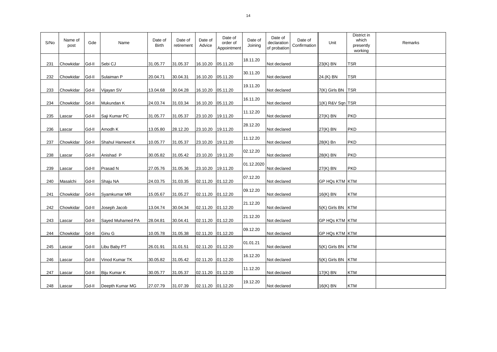| S/No | Name of<br>post | Gde   | Name             | Date of<br><b>Birth</b> | Date of<br>retirement | Date of<br>Advice | Date of<br>order of<br>Appointment | Date of<br>Joining | Date of<br>Date of<br>declaration<br>Confirmation<br>of probation | Unit                | District in<br>which<br>presently<br>working | Remarks |
|------|-----------------|-------|------------------|-------------------------|-----------------------|-------------------|------------------------------------|--------------------|-------------------------------------------------------------------|---------------------|----------------------------------------------|---------|
| 231  | Chowkidar       | Gd-II | Sebi CJ          | 31.05.77                | 31.05.37              | 16.10.20 05.11.20 |                                    | 18.11.20           | Not declared                                                      | 23(K) BN            | TSR                                          |         |
| 232  | Chowkidar       | Gd-II | Sulaiman P       | 20.04.71                | 30.04.31              | 16.10.20 05.11.20 |                                    | 30.11.20           | Not declared                                                      | 24.(K) BN           | <b>TSR</b>                                   |         |
| 233  | Chowkidar       | Gd-II | Vijayan SV       | 13.04.68                | 30.04.28              | 16.10.20 05.11.20 |                                    | 19.11.20           | Not declared                                                      | 7(K) Girls BN TSR   |                                              |         |
| 234  | Chowkidar       | Gd-II | Mukundan K       | 24.03.74                | 31.03.34              | 16.10.20 05.11.20 |                                    | 16.11.20           | Not declared                                                      | 1(K) R&V Sqn TSR    |                                              |         |
| 235  | Lascar          | Gd-II | Saji Kumar PC    | 31.05.77                | 31.05.37              | 23.10.20          | 19.11.20                           | 11.12.20           | Not declared                                                      | 27(K) BN            | <b>PKD</b>                                   |         |
| 236  | Lascar          | Gd-II | Amodh K          | 13.05.80                | 28.12.20              | 23.10.20          | 19.11.20                           | 28.12.20           | Not declared                                                      | 27(K) BN            | <b>PKD</b>                                   |         |
| 237  | Chowkidar       | Gd-II | Shahul Hameed K  | 10.05.77                | 31.05.37              | 23.10.20          | 19.11.20                           | 11.12.20           | Not declared                                                      | 28(K) Bn            | <b>PKD</b>                                   |         |
| 238  | Lascar          | Gd-II | Anishad P        | 30.05.82                | 31.05.42              | 23.10.20          | 19.11.20                           | 02.12.20           | Not declared                                                      | 28(K) BN            | <b>PKD</b>                                   |         |
| 239  | Lascar          | Gd-II | Prasad N         | 27.05.76                | 31.05.36              | 23.10.20 19.11.20 |                                    | 01.12.2020         | Not declared                                                      | 27(K) BN            | <b>PKD</b>                                   |         |
| 240  | Masalchi        | Gd-II | Shaju NA         | 24.03.75                | 31.03.35              | 02.11.20 01.12.20 |                                    | 07.12.20           | Not declared                                                      | GP HQs KTM KTM      |                                              |         |
| 241  | Chowkidar       | Gd-II | Syamkumar MR     | 15.05.67                | 31.05.27              | 02.11.20 01.12.20 |                                    | 09.12.20           | Not declared                                                      | 16(K) BN            | <b>KTM</b>                                   |         |
| 242  | Chowkidar       | Gd-II | Joseph Jacob     | 13.04.74                | 30.04.34              | 02.11.20 01.12.20 |                                    | 21.12.20           | Not declared                                                      | 5(K) Girls BN   KTM |                                              |         |
| 243  | Lascar          | Gd-II | Sayed Muhamed PA | 28.04.81                | 30.04.41              | 02.11.20 01.12.20 |                                    | 21.12.20           | Not declared                                                      | GP HQs KTM KTM      |                                              |         |
| 244  | Chowkidar       | Gd-II | Ginu G           | 10.05.78                | 31.05.38              | 02.11.20 01.12.20 |                                    | 09.12.20           | Not declared                                                      | GP HQs KTM KTM      |                                              |         |
| 245  | Lascar          | Gd-II | Libu Baby PT     | 26.01.91                | 31.01.51              | 02.11.20 01.12.20 |                                    | 01.01.21           | Not declared                                                      | 5(K) Girls BN   KTM |                                              |         |
| 246  | Lascar          | Gd-II | Vinod Kumar TK   | 30.05.82                | 31.05.42              | 02.11.20 01.12.20 |                                    | 16.12.20           | Not declared                                                      | 5(K) Girls BN   KTM |                                              |         |
| 247  | Lascar          | Gd-II | Biju Kumar K     | 30.05.77                | 31.05.37              | 02.11.20          | 01.12.20                           | 11.12.20           | Not declared                                                      | 17(K) BN            | <b>KTM</b>                                   |         |
| 248  | Lascar          | Gd-II | Deepth Kumar MG  | 27.07.79                | 31.07.39              | 02.11.20 01.12.20 |                                    | 19.12.20           | Not declared                                                      | 16(K) BN            | <b>KTM</b>                                   |         |